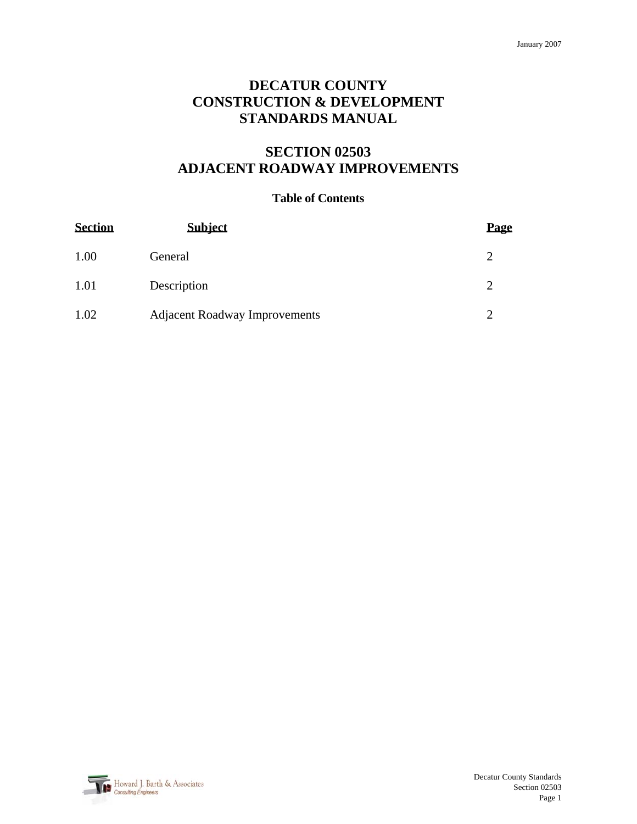## **DECATUR COUNTY CONSTRUCTION & DEVELOPMENT STANDARDS MANUAL**

# **SECTION 02503 ADJACENT ROADWAY IMPROVEMENTS**

#### **Table of Contents**

| <b>Section</b> | <b>Subject</b>                       | Page |
|----------------|--------------------------------------|------|
| 1.00           | General                              |      |
| 1.01           | Description                          |      |
| 1.02           | <b>Adjacent Roadway Improvements</b> |      |